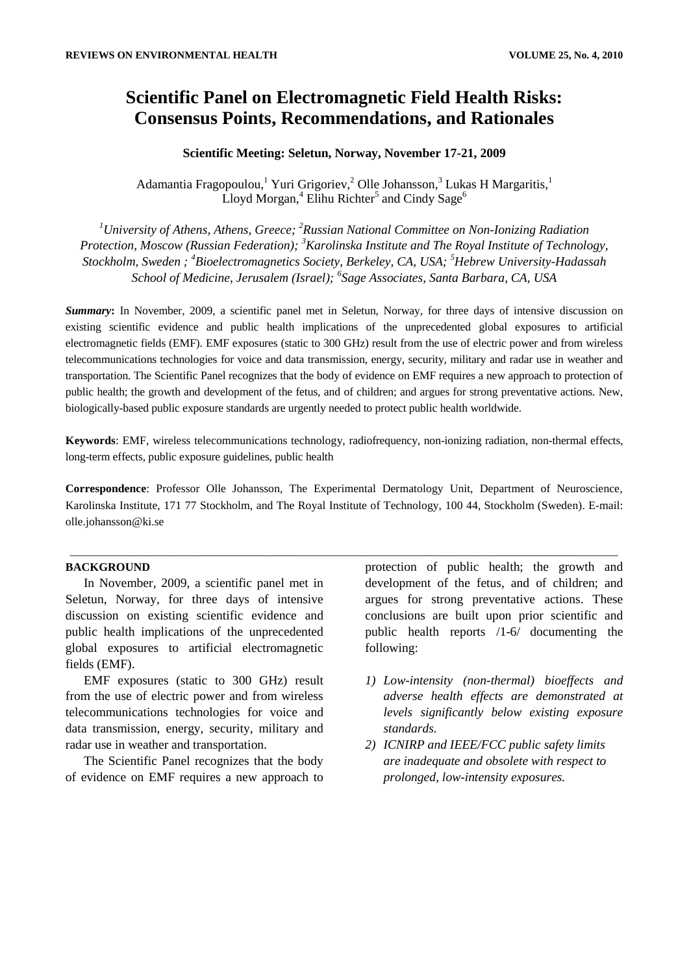# **Scientific Panel on Electromagnetic Field Health Risks: Consensus Points, Recommendations, and Rationales**

#### **Scientific Meeting: Seletun, Norway, November 17-21, 2009**

Adamantia Fragopoulou,<sup>1</sup> Yuri Grigoriev,<sup>2</sup> Olle Johansson,<sup>3</sup> Lukas H Margaritis,<sup>1</sup> Lloyd Morgan, $^4$  Elihu Richter $^5$  and Cindy Sage $^6$ 

*<sup>1</sup>University of Athens, Athens, Greece; <sup>2</sup>Russian National Committee on Non-Ionizing Radiation Protection, Moscow (Russian Federation); <sup>3</sup>Karolinska Institute and The Royal Institute of Technology, Stockholm, Sweden ; <sup>4</sup>Bioelectromagnetics Society, Berkeley, CA, USA; <sup>5</sup>Hebrew University-Hadassah School of Medicine, Jerusalem (Israel); <sup>6</sup> Sage Associates, Santa Barbara, CA, USA*

*Summary***:** In November, 2009, a scientific panel met in Seletun, Norway, for three days of intensive discussion on existing scientific evidence and public health implications of the unprecedented global exposures to artificial electromagnetic fields (EMF). EMF exposures (static to 300 GHz) result from the use of electric power and from wireless telecommunications technologies for voice and data transmission, energy, security, military and radar use in weather and transportation. The Scientific Panel recognizes that the body of evidence on EMF requires a new approach to protection of public health; the growth and development of the fetus, and of children; and argues for strong preventative actions. New, biologically-based public exposure standards are urgently needed to protect public health worldwide.

**Keywords**: EMF, wireless telecommunications technology, radiofrequency, non-ionizing radiation, non-thermal effects, long-term effects, public exposure guidelines, public health

**Correspondence**: Professor Olle Johansson, The Experimental Dermatology Unit, Department of Neuroscience, Karolinska Institute, 171 77 Stockholm, and The Royal Institute of Technology, 100 44, Stockholm (Sweden). E-mail: [olle.johansson@ki.se](mailto:olle.johansson@ki.se)

\_\_\_\_\_\_\_\_\_\_\_\_\_\_\_\_\_\_\_\_\_\_\_\_\_\_\_\_\_\_\_\_\_\_\_\_\_\_\_\_\_\_\_\_\_\_\_\_\_\_\_\_\_\_\_\_\_\_\_\_\_\_\_\_\_\_\_\_\_\_\_\_\_\_\_\_\_\_\_\_\_\_\_\_\_\_\_\_\_\_\_\_\_\_

#### **BACKGROUND**

In November, 2009, a scientific panel met in Seletun, Norway, for three days of intensive discussion on existing scientific evidence and public health implications of the unprecedented global exposures to artificial electromagnetic fields (EMF).

EMF exposures (static to 300 GHz) result from the use of electric power and from wireless telecommunications technologies for voice and data transmission, energy, security, military and radar use in weather and transportation.

The Scientific Panel recognizes that the body of evidence on EMF requires a new approach to protection of public health; the growth and development of the fetus, and of children; and argues for strong preventative actions. These conclusions are built upon prior scientific and public health reports /1-6/ documenting the following:

- *1) Low-intensity (non-thermal) bioeffects and adverse health effects are demonstrated at levels significantly below existing exposure standards.*
- *2) ICNIRP and IEEE/FCC public safety limits are inadequate and obsolete with respect to prolonged, low-intensity exposures.*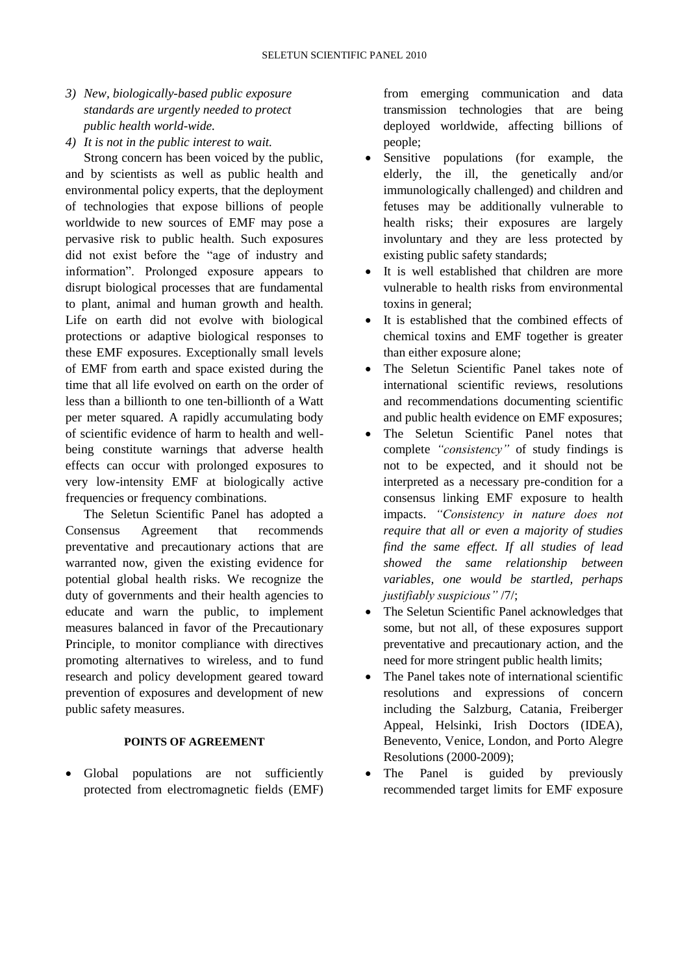- *3) New, biologically-based public exposure standards are urgently needed to protect public health world-wide.*
- *4) It is not in the public interest to wait.* Strong concern has been voiced by the public,

and by scientists as well as public health and environmental policy experts, that the deployment of technologies that expose billions of people worldwide to new sources of EMF may pose a pervasive risk to public health. Such exposures did not exist before the "age of industry and information". Prolonged exposure appears to disrupt biological processes that are fundamental to plant, animal and human growth and health. Life on earth did not evolve with biological protections or adaptive biological responses to these EMF exposures. Exceptionally small levels of EMF from earth and space existed during the time that all life evolved on earth on the order of less than a billionth to one ten-billionth of a Watt per meter squared. A rapidly accumulating body of scientific evidence of harm to health and wellbeing constitute warnings that adverse health effects can occur with prolonged exposures to very low-intensity EMF at biologically active frequencies or frequency combinations.

The Seletun Scientific Panel has adopted a Consensus Agreement that recommends preventative and precautionary actions that are warranted now, given the existing evidence for potential global health risks. We recognize the duty of governments and their health agencies to educate and warn the public, to implement measures balanced in favor of the Precautionary Principle, to monitor compliance with directives promoting alternatives to wireless, and to fund research and policy development geared toward prevention of exposures and development of new public safety measures.

#### **POINTS OF AGREEMENT**

 Global populations are not sufficiently protected from electromagnetic fields (EMF) from emerging communication and data transmission technologies that are being deployed worldwide, affecting billions of people;

- Sensitive populations (for example, the elderly, the ill, the genetically and/or immunologically challenged) and children and fetuses may be additionally vulnerable to health risks; their exposures are largely involuntary and they are less protected by existing public safety standards;
- It is well established that children are more vulnerable to health risks from environmental toxins in general;
- It is established that the combined effects of chemical toxins and EMF together is greater than either exposure alone;
- The Seletun Scientific Panel takes note of international scientific reviews, resolutions and recommendations documenting scientific and public health evidence on EMF exposures;
- The Seletun Scientific Panel notes that complete *"consistency"* of study findings is not to be expected, and it should not be interpreted as a necessary pre-condition for a consensus linking EMF exposure to health impacts. *"Consistency in nature does not require that all or even a majority of studies find the same effect. If all studies of lead showed the same relationship between variables, one would be startled, perhaps justifiably suspicious"* /7/;
- The Seletun Scientific Panel acknowledges that some, but not all, of these exposures support preventative and precautionary action, and the need for more stringent public health limits;
- The Panel takes note of international scientific resolutions and expressions of concern including the Salzburg, Catania, Freiberger Appeal, Helsinki, Irish Doctors (IDEA), Benevento, Venice, London, and Porto Alegre Resolutions (2000-2009);
- The Panel is guided by previously recommended target limits for EMF exposure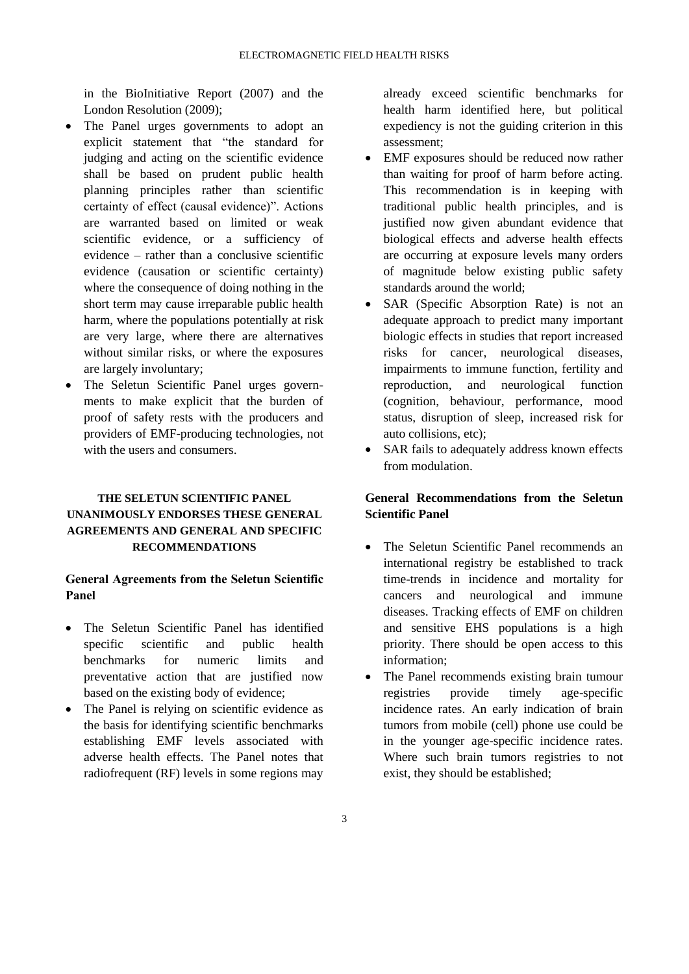in the BioInitiative Report (2007) and the London Resolution (2009);

- The Panel urges governments to adopt an explicit statement that "the standard for judging and acting on the scientific evidence shall be based on prudent public health planning principles rather than scientific certainty of effect (causal evidence)". Actions are warranted based on limited or weak scientific evidence, or a sufficiency of evidence – rather than a conclusive scientific evidence (causation or scientific certainty) where the consequence of doing nothing in the short term may cause irreparable public health harm, where the populations potentially at risk are very large, where there are alternatives without similar risks, or where the exposures are largely involuntary;
- The Seletun Scientific Panel urges governments to make explicit that the burden of proof of safety rests with the producers and providers of EMF-producing technologies, not with the users and consumers.

# **THE SELETUN SCIENTIFIC PANEL UNANIMOUSLY ENDORSES THESE GENERAL AGREEMENTS AND GENERAL AND SPECIFIC RECOMMENDATIONS**

## **General Agreements from the Seletun Scientific Panel**

- The Seletun Scientific Panel has identified specific scientific and public health benchmarks for numeric limits and preventative action that are justified now based on the existing body of evidence;
- The Panel is relying on scientific evidence as the basis for identifying scientific benchmarks establishing EMF levels associated with adverse health effects. The Panel notes that radiofrequent (RF) levels in some regions may

already exceed scientific benchmarks for health harm identified here, but political expediency is not the guiding criterion in this assessment;

- EMF exposures should be reduced now rather than waiting for proof of harm before acting. This recommendation is in keeping with traditional public health principles, and is justified now given abundant evidence that biological effects and adverse health effects are occurring at exposure levels many orders of magnitude below existing public safety standards around the world;
- SAR (Specific Absorption Rate) is not an adequate approach to predict many important biologic effects in studies that report increased risks for cancer, neurological diseases, impairments to immune function, fertility and reproduction, and neurological function (cognition, behaviour, performance, mood status, disruption of sleep, increased risk for auto collisions, etc);
- SAR fails to adequately address known effects from modulation.

# **General Recommendations from the Seletun Scientific Panel**

- The Seletun Scientific Panel recommends an international registry be established to track time-trends in incidence and mortality for cancers and neurological and immune diseases. Tracking effects of EMF on children and sensitive EHS populations is a high priority. There should be open access to this information;
- The Panel recommends existing brain tumour registries provide timely age-specific incidence rates. An early indication of brain tumors from mobile (cell) phone use could be in the younger age-specific incidence rates. Where such brain tumors registries to not exist, they should be established;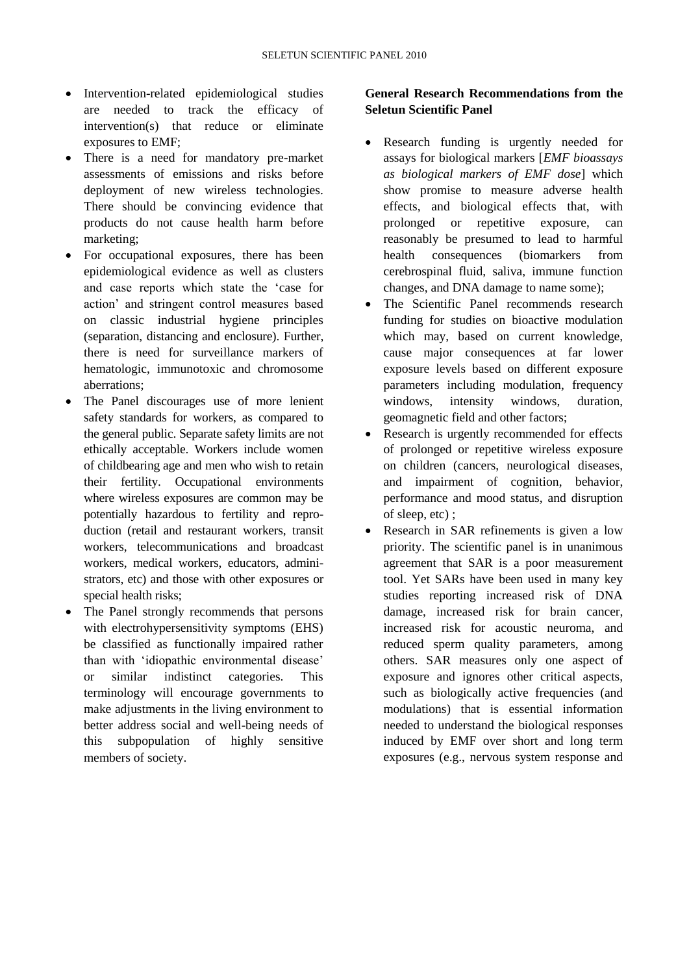- Intervention-related epidemiological studies are needed to track the efficacy of intervention(s) that reduce or eliminate exposures to EMF;
- There is a need for mandatory pre-market assessments of emissions and risks before deployment of new wireless technologies. There should be convincing evidence that products do not cause health harm before marketing;
- For occupational exposures, there has been epidemiological evidence as well as clusters and case reports which state the 'case for action' and stringent control measures based on classic industrial hygiene principles (separation, distancing and enclosure). Further, there is need for surveillance markers of hematologic, immunotoxic and chromosome aberrations;
- The Panel discourages use of more lenient safety standards for workers, as compared to the general public. Separate safety limits are not ethically acceptable. Workers include women of childbearing age and men who wish to retain their fertility. Occupational environments where wireless exposures are common may be potentially hazardous to fertility and reproduction (retail and restaurant workers, transit workers, telecommunications and broadcast workers, medical workers, educators, administrators, etc) and those with other exposures or special health risks;
- The Panel strongly recommends that persons with electrohypersensitivity symptoms (EHS) be classified as functionally impaired rather than with ‗idiopathic environmental disease' or similar indistinct categories. This terminology will encourage governments to make adjustments in the living environment to better address social and well-being needs of this subpopulation of highly sensitive members of society.

# **General Research Recommendations from the Seletun Scientific Panel**

- Research funding is urgently needed for assays for biological markers [*EMF bioassays as biological markers of EMF dose*] which show promise to measure adverse health effects, and biological effects that, with prolonged or repetitive exposure, can reasonably be presumed to lead to harmful health consequences (biomarkers from cerebrospinal fluid, saliva, immune function changes, and DNA damage to name some);
- The Scientific Panel recommends research funding for studies on bioactive modulation which may, based on current knowledge, cause major consequences at far lower exposure levels based on different exposure parameters including modulation, frequency windows, intensity windows, duration, geomagnetic field and other factors;
- Research is urgently recommended for effects of prolonged or repetitive wireless exposure on children (cancers, neurological diseases, and impairment of cognition, behavior, performance and mood status, and disruption of sleep, etc) ;
- Research in SAR refinements is given a low priority. The scientific panel is in unanimous agreement that SAR is a poor measurement tool. Yet SARs have been used in many key studies reporting increased risk of DNA damage, increased risk for brain cancer, increased risk for acoustic neuroma, and reduced sperm quality parameters, among others. SAR measures only one aspect of exposure and ignores other critical aspects, such as biologically active frequencies (and modulations) that is essential information needed to understand the biological responses induced by EMF over short and long term exposures (e.g., nervous system response and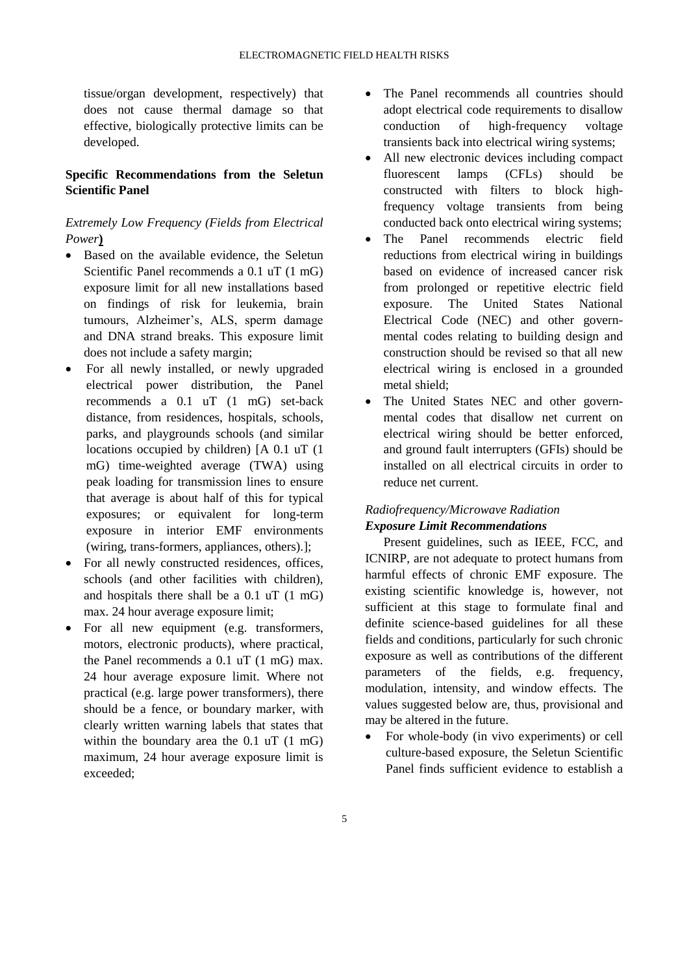tissue/organ development, respectively) that does not cause thermal damage so that effective, biologically protective limits can be developed.

# **Specific Recommendations from the Seletun Scientific Panel**

## *Extremely Low Frequency (Fields from Electrical Power***)**

- Based on the available evidence, the Seletun Scientific Panel recommends a 0.1 uT (1 mG) exposure limit for all new installations based on findings of risk for leukemia, brain tumours, Alzheimer's, ALS, sperm damage and DNA strand breaks. This exposure limit does not include a safety margin;
- For all newly installed, or newly upgraded electrical power distribution, the Panel recommends a 0.1 uT (1 mG) set-back distance, from residences, hospitals, schools, parks, and playgrounds schools (and similar locations occupied by children) [A 0.1 uT (1 mG) time-weighted average (TWA) using peak loading for transmission lines to ensure that average is about half of this for typical exposures; or equivalent for long-term exposure in interior EMF environments (wiring, trans-formers, appliances, others).];
- For all newly constructed residences, offices, schools (and other facilities with children), and hospitals there shall be a 0.1 uT (1 mG) max. 24 hour average exposure limit;
- For all new equipment (e.g. transformers, motors, electronic products), where practical, the Panel recommends a 0.1 uT (1 mG) max. 24 hour average exposure limit. Where not practical (e.g. large power transformers), there should be a fence, or boundary marker, with clearly written warning labels that states that within the boundary area the 0.1 uT (1 mG) maximum, 24 hour average exposure limit is exceeded;
- The Panel recommends all countries should adopt electrical code requirements to disallow conduction of high-frequency voltage transients back into electrical wiring systems;
- All new electronic devices including compact fluorescent lamps (CFLs) should be constructed with filters to block highfrequency voltage transients from being conducted back onto electrical wiring systems;
- The Panel recommends electric field reductions from electrical wiring in buildings based on evidence of increased cancer risk from prolonged or repetitive electric field exposure. The United States National Electrical Code (NEC) and other governmental codes relating to building design and construction should be revised so that all new electrical wiring is enclosed in a grounded metal shield;
- The United States NEC and other governmental codes that disallow net current on electrical wiring should be better enforced, and ground fault interrupters (GFIs) should be installed on all electrical circuits in order to reduce net current.

# *Radiofrequency/Microwave Radiation Exposure Limit Recommendations*

Present guidelines, such as IEEE, FCC, and ICNIRP, are not adequate to protect humans from harmful effects of chronic EMF exposure. The existing scientific knowledge is, however, not sufficient at this stage to formulate final and definite science-based guidelines for all these fields and conditions, particularly for such chronic exposure as well as contributions of the different parameters of the fields, e.g. frequency, modulation, intensity, and window effects. The values suggested below are, thus, provisional and may be altered in the future.

• For whole-body (in vivo experiments) or cell culture-based exposure, the Seletun Scientific Panel finds sufficient evidence to establish a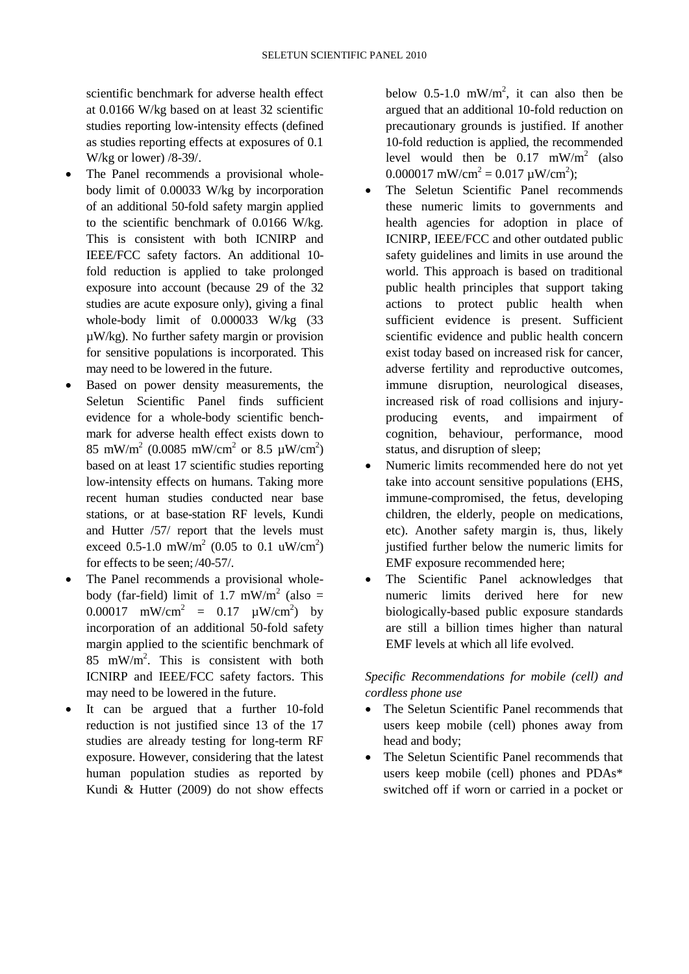scientific benchmark for adverse health effect at 0.0166 W/kg based on at least 32 scientific studies reporting low-intensity effects (defined as studies reporting effects at exposures of 0.1 W/kg or lower) /8-39/.

- The Panel recommends a provisional wholebody limit of 0.00033 W/kg by incorporation of an additional 50-fold safety margin applied to the scientific benchmark of 0.0166 W/kg. This is consistent with both ICNIRP and IEEE/FCC safety factors. An additional 10 fold reduction is applied to take prolonged exposure into account (because 29 of the 32 studies are acute exposure only), giving a final whole-body limit of 0.000033 W/kg (33 µW/kg). No further safety margin or provision for sensitive populations is incorporated. This may need to be lowered in the future.
- Based on power density measurements, the Seletun Scientific Panel finds sufficient evidence for a whole-body scientific benchmark for adverse health effect exists down to 85 mW/m<sup>2</sup> (0.0085 mW/cm<sup>2</sup> or 8.5  $\mu$ W/cm<sup>2</sup>) based on at least 17 scientific studies reporting low-intensity effects on humans. Taking more recent human studies conducted near base stations, or at base-station RF levels, Kundi and Hutter /57/ report that the levels must exceed 0.5-1.0 mW/m<sup>2</sup> (0.05 to 0.1 uW/cm<sup>2</sup>) for effects to be seen;/40-57/.
- The Panel recommends a provisional wholebody (far-field) limit of 1.7 mW/m<sup>2</sup> (also = 0.00017 mW/cm<sup>2</sup> = 0.17  $\mu$ W/cm<sup>2</sup>) by incorporation of an additional 50-fold safety margin applied to the scientific benchmark of 85 mW/m<sup>2</sup>. This is consistent with both ICNIRP and IEEE/FCC safety factors. This may need to be lowered in the future.
- It can be argued that a further 10-fold reduction is not justified since 13 of the 17 studies are already testing for long-term RF exposure. However, considering that the latest human population studies as reported by Kundi & Hutter (2009) do not show effects

below  $0.5$ -1.0 mW/m<sup>2</sup>, it can also then be argued that an additional 10-fold reduction on precautionary grounds is justified. If another 10-fold reduction is applied, the recommended level would then be  $0.17 \text{ mW/m}^2$  (also  $0.000017$  mW/cm<sup>2</sup> = 0.017  $\mu$ W/cm<sup>2</sup>);

- The Seletun Scientific Panel recommends these numeric limits to governments and health agencies for adoption in place of ICNIRP, IEEE/FCC and other outdated public safety guidelines and limits in use around the world. This approach is based on traditional public health principles that support taking actions to protect public health when sufficient evidence is present. Sufficient scientific evidence and public health concern exist today based on increased risk for cancer, adverse fertility and reproductive outcomes, immune disruption, neurological diseases, increased risk of road collisions and injuryproducing events, and impairment of cognition, behaviour, performance, mood status, and disruption of sleep;
- Numeric limits recommended here do not yet take into account sensitive populations (EHS, immune-compromised, the fetus, developing children, the elderly, people on medications, etc). Another safety margin is, thus, likely justified further below the numeric limits for EMF exposure recommended here;
- The Scientific Panel acknowledges that numeric limits derived here for new biologically-based public exposure standards are still a billion times higher than natural EMF levels at which all life evolved.

*Specific Recommendations for mobile (cell) and cordless phone use*

- The Seletun Scientific Panel recommends that users keep mobile (cell) phones away from head and body;
- The Seletun Scientific Panel recommends that users keep mobile (cell) phones and PDAs\* switched off if worn or carried in a pocket or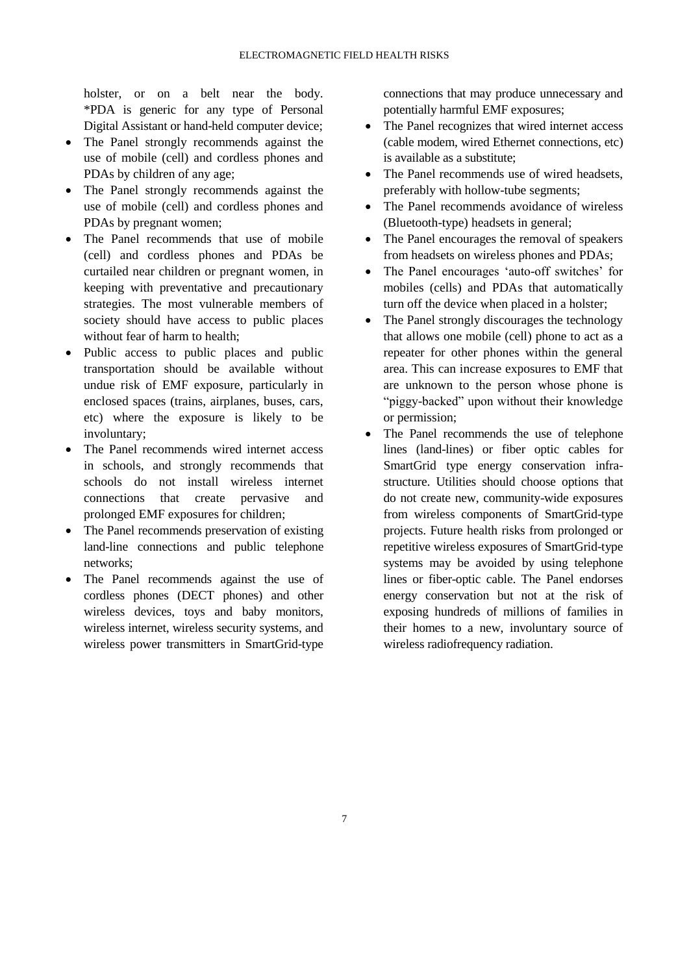holster, or on a belt near the body. \*PDA is generic for any type of Personal Digital Assistant or hand-held computer device;

- The Panel strongly recommends against the use of mobile (cell) and cordless phones and PDAs by children of any age;
- The Panel strongly recommends against the use of mobile (cell) and cordless phones and PDAs by pregnant women;
- The Panel recommends that use of mobile (cell) and cordless phones and PDAs be curtailed near children or pregnant women, in keeping with preventative and precautionary strategies. The most vulnerable members of society should have access to public places without fear of harm to health;
- Public access to public places and public transportation should be available without undue risk of EMF exposure, particularly in enclosed spaces (trains, airplanes, buses, cars, etc) where the exposure is likely to be involuntary;
- The Panel recommends wired internet access in schools, and strongly recommends that schools do not install wireless internet connections that create pervasive and prolonged EMF exposures for children;
- The Panel recommends preservation of existing land-line connections and public telephone networks;
- The Panel recommends against the use of cordless phones (DECT phones) and other wireless devices, toys and baby monitors, wireless internet, wireless security systems, and wireless power transmitters in SmartGrid-type

connections that may produce unnecessary and potentially harmful EMF exposures;

- The Panel recognizes that wired internet access (cable modem, wired Ethernet connections, etc) is available as a substitute;
- The Panel recommends use of wired headsets, preferably with hollow-tube segments;
- The Panel recommends avoidance of wireless (Bluetooth-type) headsets in general;
- The Panel encourages the removal of speakers from headsets on wireless phones and PDAs;
- The Panel encourages 'auto-off switches' for mobiles (cells) and PDAs that automatically turn off the device when placed in a holster;
- The Panel strongly discourages the technology that allows one mobile (cell) phone to act as a repeater for other phones within the general area. This can increase exposures to EMF that are unknown to the person whose phone is "piggy-backed" upon without their knowledge or permission;
- The Panel recommends the use of telephone lines (land-lines) or fiber optic cables for SmartGrid type energy conservation infrastructure. Utilities should choose options that do not create new, community-wide exposures from wireless components of SmartGrid-type projects. Future health risks from prolonged or repetitive wireless exposures of SmartGrid-type systems may be avoided by using telephone lines or fiber-optic cable. The Panel endorses energy conservation but not at the risk of exposing hundreds of millions of families in their homes to a new, involuntary source of wireless radiofrequency radiation.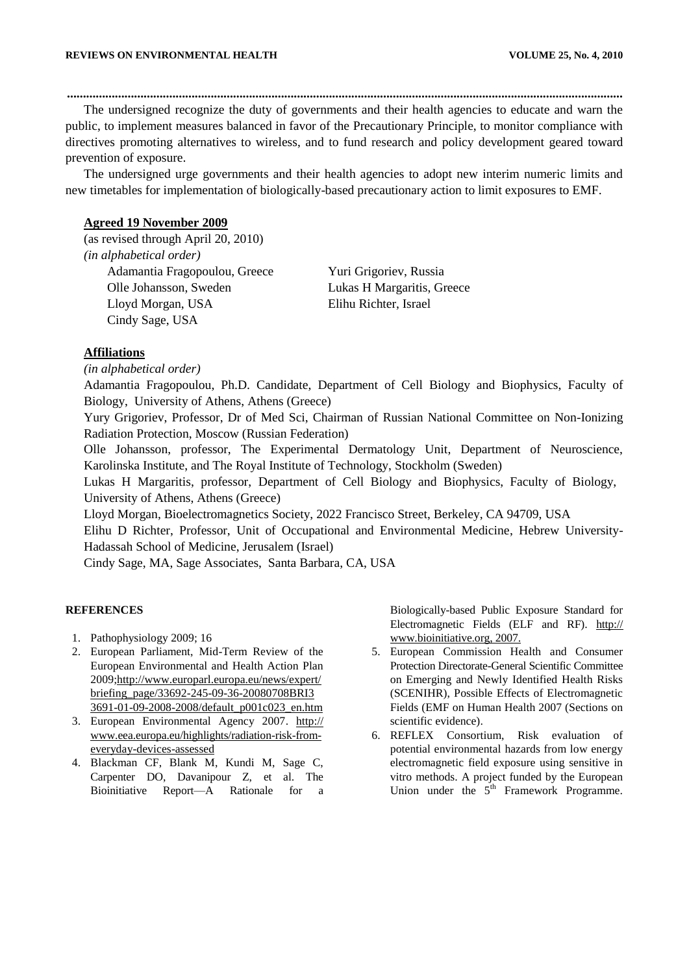**..............................................................................................................................................................................**

The undersigned recognize the duty of governments and their health agencies to educate and warn the public, to implement measures balanced in favor of the Precautionary Principle, to monitor compliance with directives promoting alternatives to wireless, and to fund research and policy development geared toward prevention of exposure.

The undersigned urge governments and their health agencies to adopt new interim numeric limits and new timetables for implementation of biologically-based precautionary action to limit exposures to EMF.

#### **Agreed 19 November 2009**

(as revised through April 20, 2010) *(in alphabetical order)* Adamantia Fragopoulou, Greece Yuri Grigoriev, Russia Olle Johansson, Sweden Lukas H Margaritis, Greece Lloyd Morgan, USA Elihu Richter, Israel Cindy Sage, USA

### **Affiliations**

*(in alphabetical order)*

Adamantia Fragopoulou, Ph.D. Candidate, Department of Cell Biology and Biophysics, Faculty of Biology, University of Athens, Athens (Greece)

Yury Grigoriev, Professor, Dr of Med Sci, Chairman of Russian National Committee on Non-Ionizing Radiation Protection, Moscow (Russian Federation)

Olle Johansson, professor, The Experimental Dermatology Unit, Department of Neuroscience, Karolinska Institute, and The Royal Institute of Technology, Stockholm (Sweden)

Lukas H Margaritis, professor, Department of Cell Biology and Biophysics, Faculty of Biology, University of Athens, Athens (Greece)

Lloyd Morgan, Bioelectromagnetics Society, 2022 Francisco Street, Berkeley, CA 94709, USA

Elihu D Richter, Professor, Unit of Occupational and Environmental Medicine, Hebrew University-Hadassah School of Medicine, Jerusalem (Israel)

Cindy Sage, MA, Sage Associates, Santa Barbara, CA, USA

#### **REFERENCES**

- 1. Pathophysiology 2009; 16
- 2. European Parliament, Mid-Term Review of the European Environmental and Health Action Plan 2009[;http://www.europarl.europa.eu/news/expert/](http://www.europarl.europa.eu/news/expert/briefing_page/33692-245-09-36-20080708BRI3%203691-01-09-2008-2008/default_p001c023_en.htm) [briefing\\_page/33692-245-09-36-20080708BRI3](http://www.europarl.europa.eu/news/expert/briefing_page/33692-245-09-36-20080708BRI3%203691-01-09-2008-2008/default_p001c023_en.htm)  [3691-01-09-2008-2008/default\\_p001c023\\_en.htm](http://www.europarl.europa.eu/news/expert/briefing_page/33692-245-09-36-20080708BRI3%203691-01-09-2008-2008/default_p001c023_en.htm)
- 3. European Environmental Agency 2007. http:// www.eea.europa.eu/highlights/radiation-risk-fromeveryday-devices-assessed
- 4. Blackman CF, Blank M, Kundi M, Sage C, Carpenter DO, Davanipour Z, et al. The Bioinitiative Report—A Rationale for a

Biologically-based Public Exposure Standard for Electromagnetic Fields (ELF and RF). http:// www.bioinitiative.org, 2007.

- 5. European Commission Health and Consumer Protection Directorate-General Scientific Committee on Emerging and Newly Identified Health Risks (SCENIHR), Possible Effects of Electromagnetic Fields (EMF on Human Health 2007 (Sections on scientific evidence).
- 6. REFLEX Consortium, Risk evaluation of potential environmental hazards from low energy electromagnetic field exposure using sensitive in vitro methods. A project funded by the European Union under the  $5<sup>th</sup>$  Framework Programme.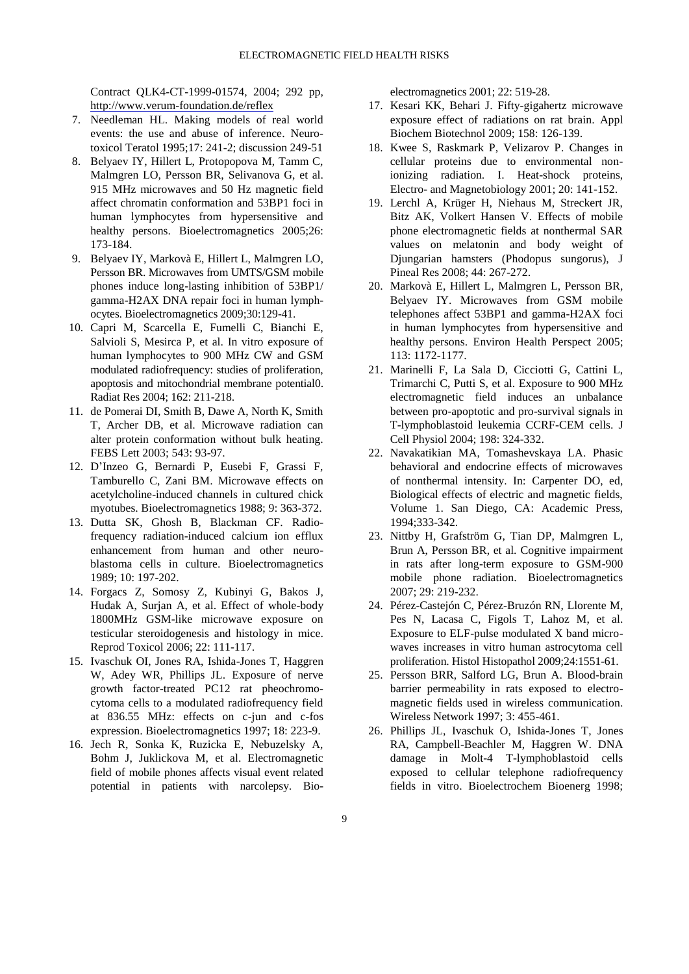Contract QLK4-CT-1999-01574, 2004; 292 pp, <http://www.verum-foundation.de/reflex>

- 7. Needleman HL. Making models of real world events: the use and abuse of inference. Neurotoxicol Teratol 1995;17: 241-2; discussion 249-51
- 8. Belyaev IY, Hillert L, Protopopova M, Tamm C, Malmgren LO, Persson BR, Selivanova G, et al. 915 MHz microwaves and 50 Hz magnetic field affect chromatin conformation and 53BP1 foci in human lymphocytes from hypersensitive and healthy persons. Bioelectromagnetics 2005;26: 173-184.
- 9. [Belyaev IY,](http://www.ncbi.nlm.nih.gov/pubmed?term=%22Belyaev%20IY%22%5BAuthor%5D&itool=EntrezSystem2.PEntrez.Pubmed.Pubmed_ResultsPanel.Pubmed_RVAbstract) [Markovà E,](http://www.ncbi.nlm.nih.gov/pubmed?term=%22Markov%C3%A0%20E%22%5BAuthor%5D&itool=EntrezSystem2.PEntrez.Pubmed.Pubmed_ResultsPanel.Pubmed_RVAbstract) [Hillert L,](http://www.ncbi.nlm.nih.gov/pubmed?term=%22Hillert%20L%22%5BAuthor%5D&itool=EntrezSystem2.PEntrez.Pubmed.Pubmed_ResultsPanel.Pubmed_RVAbstract) [Malmgren LO,](http://www.ncbi.nlm.nih.gov/pubmed?term=%22Malmgren%20LO%22%5BAuthor%5D&itool=EntrezSystem2.PEntrez.Pubmed.Pubmed_ResultsPanel.Pubmed_RVAbstract) [Persson BR.](http://www.ncbi.nlm.nih.gov/pubmed?term=%22Persson%20BR%22%5BAuthor%5D&itool=EntrezSystem2.PEntrez.Pubmed.Pubmed_ResultsPanel.Pubmed_RVAbstract) Microwaves from UMTS/GSM mobile phones induce long-lasting inhibition of 53BP1/ gamma-H2AX DNA repair foci in human lymphocytes. [Bioelectromagnetics](javascript:AL_get(this,%20) 2009;30:129-41.
- 10. Capri M, Scarcella E, Fumelli C, Bianchi E, Salvioli S, Mesirca P, et al. In vitro exposure of human lymphocytes to 900 MHz CW and GSM modulated radiofrequency: studies of proliferation, apoptosis and mitochondrial membrane potential0. Radiat Res 2004; 162: 211-218.
- 11. de Pomerai DI, Smith B, Dawe A, North K, Smith T, Archer DB, et al. Microwave radiation can alter protein conformation without bulk heating. FEBS Lett 2003; 543: 93-97.
- 12. D'Inzeo G, Bernardi P, Eusebi F, Grassi F, Tamburello C, Zani BM. Microwave effects on acetylcholine-induced channels in cultured chick myotubes. Bioelectromagnetics 1988; 9: 363-372.
- 13. Dutta SK, Ghosh B, Blackman CF. Radiofrequency radiation-induced calcium ion efflux enhancement from human and other neuroblastoma cells in culture. Bioelectromagnetics 1989; 10: 197-202.
- 14. [Forgacs Z,](http://www.ncbi.nlm.nih.gov/entrez/query.fcgi?db=pubmed&cmd=Search&itool=pubmed_Abstract&term=%22Forgacs+Z%22%5BAuthor%5D) [Somosy Z,](http://www.ncbi.nlm.nih.gov/entrez/query.fcgi?db=pubmed&cmd=Search&itool=pubmed_Abstract&term=%22Somosy+Z%22%5BAuthor%5D) [Kubinyi G,](http://www.ncbi.nlm.nih.gov/entrez/query.fcgi?db=pubmed&cmd=Search&itool=pubmed_Abstract&term=%22Kubinyi+G%22%5BAuthor%5D) [Bakos J,](http://www.ncbi.nlm.nih.gov/entrez/query.fcgi?db=pubmed&cmd=Search&itool=pubmed_Abstract&term=%22Bakos+J%22%5BAuthor%5D) [Hudak A,](http://www.ncbi.nlm.nih.gov/entrez/query.fcgi?db=pubmed&cmd=Search&itool=pubmed_Abstract&term=%22Hudak+A%22%5BAuthor%5D) [Surjan A,](http://www.ncbi.nlm.nih.gov/entrez/query.fcgi?db=pubmed&cmd=Search&itool=pubmed_Abstract&term=%22Surjan+A%22%5BAuthor%5D) et al. Effect of whole-body 1800MHz GSM-like microwave exposure on testicular steroidogenesis and histology in mice. [Reprod Toxicol 2](javascript:AL_get(this,%20)006; 22: 111-117.
- 15. Ivaschuk OI, Jones RA, Ishida-Jones T, Haggren W, Adey WR, Phillips JL. Exposure of nerve growth factor-treated PC12 rat pheochromocytoma cells to a modulated radiofrequency field at 836.55 MHz: effects on c-jun and c-fos expression. Bioelectromagnetics 1997; 18: 223-9.
- 16. Jech R, Sonka K, Ruzicka E, Nebuzelsky A, Bohm J, Juklickova M, et al. Electromagnetic field of mobile phones affects visual event related potential in patients with narcolepsy. Bio-

electromagnetics 2001; 22: 519-28.

- 17. [Kesari KK,](http://www.ncbi.nlm.nih.gov/sites/entrez?Db=pubmed&Cmd=Search&Term=%22Kesari%20KK%22%5BAuthor%5D&itool=EntrezSystem2.PEntrez.Pubmed.Pubmed_ResultsPanel.Pubmed_DiscoveryPanel.Pubmed_RVAbstractPlus) [Behari J.](http://www.ncbi.nlm.nih.gov/sites/entrez?Db=pubmed&Cmd=Search&Term=%22Behari%20J%22%5BAuthor%5D&itool=EntrezSystem2.PEntrez.Pubmed.Pubmed_ResultsPanel.Pubmed_DiscoveryPanel.Pubmed_RVAbstractPlus) Fifty-gigahertz microwave exposure effect of radiations on rat brain. [Appl](javascript:AL_get(this,%20)  [Biochem Biotechnol 2](javascript:AL_get(this,%20)009; 158: 126-139.
- 18. Kwee S, Raskmark P, Velizarov P. Changes in cellular proteins due to environmental nonionizing radiation. I. Heat-shock proteins, Electro- and Magnetobiology 2001; 20: 141-152.
- 19. Lerchl A, Krüger H, Niehaus M, Streckert JR, Bitz AK, Volkert Hansen V. Effects of mobile phone electromagnetic fields at nonthermal SAR values on melatonin and body weight of Djungarian hamsters (Phodopus sungorus), J Pineal Res 2008; 44: 267-272.
- 20. [Markovà E,](http://www.ncbi.nlm.nih.gov/pubmed?term=%22Markov%C3%A0%20E%22%5BAuthor%5D&itool=EntrezSystem2.PEntrez.Pubmed.Pubmed_ResultsPanel.Pubmed_RVAbstract) [Hillert L,](http://www.ncbi.nlm.nih.gov/pubmed?term=%22Hillert%20L%22%5BAuthor%5D&itool=EntrezSystem2.PEntrez.Pubmed.Pubmed_ResultsPanel.Pubmed_RVAbstract) [Malmgren L,](http://www.ncbi.nlm.nih.gov/pubmed?term=%22Malmgren%20L%22%5BAuthor%5D&itool=EntrezSystem2.PEntrez.Pubmed.Pubmed_ResultsPanel.Pubmed_RVAbstract) [Persson BR,](http://www.ncbi.nlm.nih.gov/pubmed?term=%22Persson%20BR%22%5BAuthor%5D&itool=EntrezSystem2.PEntrez.Pubmed.Pubmed_ResultsPanel.Pubmed_RVAbstract) [Belyaev IY.](http://www.ncbi.nlm.nih.gov/pubmed?term=%22Belyaev%20IY%22%5BAuthor%5D&itool=EntrezSystem2.PEntrez.Pubmed.Pubmed_ResultsPanel.Pubmed_RVAbstract) Microwaves from GSM mobile telephones affect 53BP1 and gamma-H2AX foci in human lymphocytes from hypersensitive and healthy persons. Environ Health Perspect [2](javascript:AL_get(this,%20)005; 113: 1172-1177.
- 21. Marinelli F, La Sala D, Cicciotti G, Cattini L, Trimarchi C, Putti S, et al. Exposure to 900 MHz electromagnetic field induces an unbalance between pro-apoptotic and pro-survival signals in T-lymphoblastoid leukemia CCRF-CEM cells. J Cell Physiol 2004; 198: 324-332.
- 22. Navakatikian MA, Tomashevskaya LA. Phasic behavioral and endocrine effects of microwaves of nonthermal intensity. In: Carpenter DO, ed, Biological effects of electric and magnetic fields, Volume 1. San Diego, CA: Academic Press, 1994;333-342.
- 23. [Nittby H,](http://www.ncbi.nlm.nih.gov/sites/entrez?Db=pubmed&Cmd=Search&Term=%22Nittby%20H%22%5BAuthor%5D&itool=EntrezSystem2.PEntrez.Pubmed.Pubmed_ResultsPanel.Pubmed_RVAbstractPlus) [Grafström G,](http://www.ncbi.nlm.nih.gov/sites/entrez?Db=pubmed&Cmd=Search&Term=%22Grafstr%C3%B6m%20G%22%5BAuthor%5D&itool=EntrezSystem2.PEntrez.Pubmed.Pubmed_ResultsPanel.Pubmed_RVAbstractPlus) [Tian DP,](http://www.ncbi.nlm.nih.gov/sites/entrez?Db=pubmed&Cmd=Search&Term=%22Tian%20DP%22%5BAuthor%5D&itool=EntrezSystem2.PEntrez.Pubmed.Pubmed_ResultsPanel.Pubmed_RVAbstractPlus) [Malmgren L,](http://www.ncbi.nlm.nih.gov/sites/entrez?Db=pubmed&Cmd=Search&Term=%22Malmgren%20L%22%5BAuthor%5D&itool=EntrezSystem2.PEntrez.Pubmed.Pubmed_ResultsPanel.Pubmed_RVAbstractPlus) [Brun A,](http://www.ncbi.nlm.nih.gov/sites/entrez?Db=pubmed&Cmd=Search&Term=%22Brun%20A%22%5BAuthor%5D&itool=EntrezSystem2.PEntrez.Pubmed.Pubmed_ResultsPanel.Pubmed_RVAbstractPlus) [Persson BR,](http://www.ncbi.nlm.nih.gov/sites/entrez?Db=pubmed&Cmd=Search&Term=%22Persson%20BR%22%5BAuthor%5D&itool=EntrezSystem2.PEntrez.Pubmed.Pubmed_ResultsPanel.Pubmed_RVAbstractPlus) et al. Cognitive impairment in rats after long-term exposure to GSM-900 mobile phone radiation. Bioelectromagnetics 2007; 29: 219-232.
- 24. [Pérez-Castejón C,](http://www.ncbi.nlm.nih.gov/pubmed?term=%22P%C3%A9rez-Castej%C3%B3n%20C%22%5BAuthor%5D&itool=EntrezSystem2.PEntrez.Pubmed.Pubmed_ResultsPanel.Pubmed_RVAbstract) [Pérez-Bruzón RN,](http://www.ncbi.nlm.nih.gov/pubmed?term=%22P%C3%A9rez-Bruz%C3%B3n%20RN%22%5BAuthor%5D&itool=EntrezSystem2.PEntrez.Pubmed.Pubmed_ResultsPanel.Pubmed_RVAbstract) [Llorente M,](http://www.ncbi.nlm.nih.gov/pubmed?term=%22Llorente%20M%22%5BAuthor%5D&itool=EntrezSystem2.PEntrez.Pubmed.Pubmed_ResultsPanel.Pubmed_RVAbstract) [Pes N,](http://www.ncbi.nlm.nih.gov/pubmed?term=%22Pes%20N%22%5BAuthor%5D&itool=EntrezSystem2.PEntrez.Pubmed.Pubmed_ResultsPanel.Pubmed_RVAbstract) [Lacasa C,](http://www.ncbi.nlm.nih.gov/pubmed?term=%22Lacasa%20C%22%5BAuthor%5D&itool=EntrezSystem2.PEntrez.Pubmed.Pubmed_ResultsPanel.Pubmed_RVAbstract) [Figols T,](http://www.ncbi.nlm.nih.gov/pubmed?term=%22Figols%20T%22%5BAuthor%5D&itool=EntrezSystem2.PEntrez.Pubmed.Pubmed_ResultsPanel.Pubmed_RVAbstract) [Lahoz M,](http://www.ncbi.nlm.nih.gov/pubmed?term=%22Lahoz%20M%22%5BAuthor%5D&itool=EntrezSystem2.PEntrez.Pubmed.Pubmed_ResultsPanel.Pubmed_RVAbstract) et al. Exposure to ELF-pulse modulated X band microwaves increases in vitro human astrocytoma cell proliferation. Histol Histopathol 2009;24:1551-61.
- 25. Persson BRR, Salford LG, Brun A. Blood-brain barrier permeability in rats exposed to electromagnetic fields used in wireless communication. Wireless Network 1997; 3: 455-461.
- 26. Phillips JL, Ivaschuk O, Ishida-Jones T, Jones RA, Campbell-Beachler M, Haggren W. DNA damage in Molt-4 T-lymphoblastoid cells exposed to cellular telephone radiofrequency fields in vitro. Bioelectrochem Bioenerg 1998;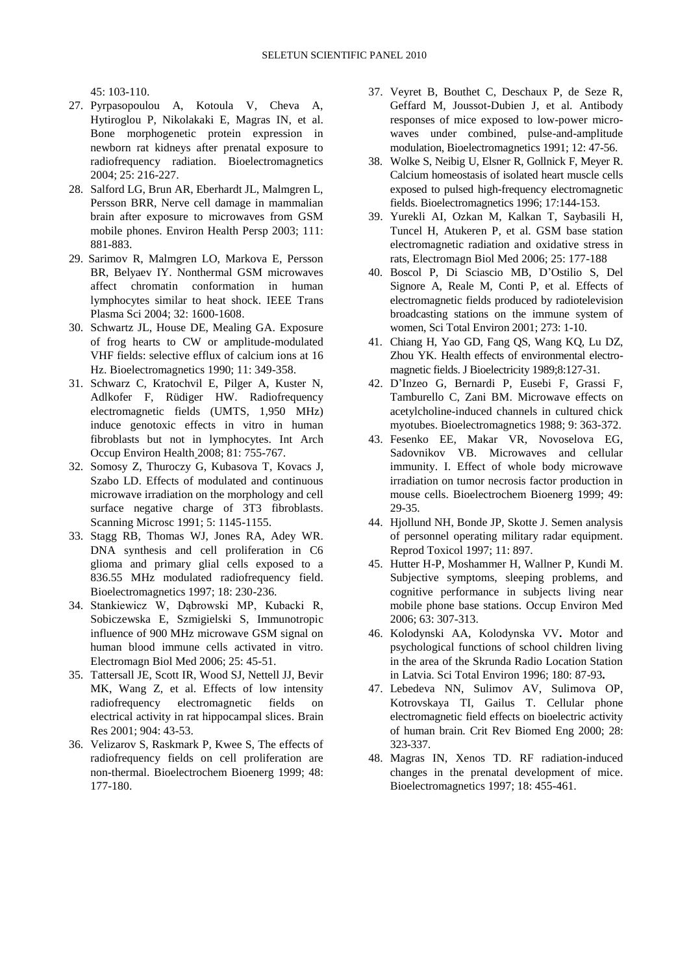45: 103-110.

- 27. Pyrpasopoulou A, Kotoula V, Cheva A, Hytiroglou P, Nikolakaki E, Magras IN, et al. Bone morphogenetic protein expression in newborn rat kidneys after prenatal exposure to radiofrequency radiation. Bioelectromagnetics 2004; 25: 216-227.
- 28. Salford LG, Brun AR, Eberhardt JL, Malmgren L, Persson BRR, Nerve cell damage in mammalian brain after exposure to microwaves from GSM mobile phones. Environ Health Persp 2003; 111: 881-883.
- 29. Sarimov R, [Malmgren LO,](http://ieeexplore.ieee.org/search/quicksrchresult.jsp?queryText=(%20malmgren%20%20l.%20o.%20g.%3CIN%3Eau)&valnm=+Malmgren%2C+L.O.G.&ResultCount=15&SortField=pyr&SortOrder=desc&reqloc=au) Markova E, Persson BR, Belyaev IY. Nonthermal GSM microwaves affect chromatin conformation in human lymphocytes similar to heat shock. IEEE Trans Plasma Sci 2004; 32: 1600-1608.
- 30. Schwartz JL, House DE, Mealing GA. Exposure of frog hearts to CW or amplitude-modulated VHF fields: selective efflux of calcium ions at 16 Hz. Bioelectromagnetics 1990; 11: 349-358.
- 31. [Schwarz C,](http://www.ncbi.nlm.nih.gov/sites/entrez?Db=pubmed&Cmd=Search&Term=%22Schwarz%20C%22%5BAuthor%5D&itool=EntrezSystem2.PEntrez.Pubmed.Pubmed_ResultsPanel.Pubmed_DiscoveryPanel.Pubmed_RVAbstractPlus) [Kratochvil E,](http://www.ncbi.nlm.nih.gov/sites/entrez?Db=pubmed&Cmd=Search&Term=%22Kratochvil%20E%22%5BAuthor%5D&itool=EntrezSystem2.PEntrez.Pubmed.Pubmed_ResultsPanel.Pubmed_DiscoveryPanel.Pubmed_RVAbstractPlus) [Pilger A,](http://www.ncbi.nlm.nih.gov/sites/entrez?Db=pubmed&Cmd=Search&Term=%22Pilger%20A%22%5BAuthor%5D&itool=EntrezSystem2.PEntrez.Pubmed.Pubmed_ResultsPanel.Pubmed_DiscoveryPanel.Pubmed_RVAbstractPlus) [Kuster N,](http://www.ncbi.nlm.nih.gov/sites/entrez?Db=pubmed&Cmd=Search&Term=%22Kuster%20N%22%5BAuthor%5D&itool=EntrezSystem2.PEntrez.Pubmed.Pubmed_ResultsPanel.Pubmed_DiscoveryPanel.Pubmed_RVAbstractPlus) [Adlkofer F,](http://www.ncbi.nlm.nih.gov/sites/entrez?Db=pubmed&Cmd=Search&Term=%22Adlkofer%20F%22%5BAuthor%5D&itool=EntrezSystem2.PEntrez.Pubmed.Pubmed_ResultsPanel.Pubmed_DiscoveryPanel.Pubmed_RVAbstractPlus) [Rüdiger HW.](http://www.ncbi.nlm.nih.gov/sites/entrez?Db=pubmed&Cmd=Search&Term=%22R%C3%BCdiger%20HW%22%5BAuthor%5D&itool=EntrezSystem2.PEntrez.Pubmed.Pubmed_ResultsPanel.Pubmed_DiscoveryPanel.Pubmed_RVAbstractPlus) Radiofrequency electromagnetic fields (UMTS, 1,950 MHz) induce genotoxic effects in vitro in human fibroblasts but not in lymphocytes. [Int Arch](javascript:AL_get(this,%20)  [Occup Environ Health](javascript:AL_get(this,%20) 2008; 81: 755-767.
- 32. Somosy Z, Thuroczy G, Kubasova T, Kovacs J, Szabo LD. Effects of modulated and continuous microwave irradiation on the morphology and cell surface negative charge of 3T3 fibroblasts. Scanning Microsc 1991; 5: 1145-1155.
- 33. Stagg RB, Thomas WJ, Jones RA, Adey WR. DNA synthesis and cell proliferation in C6 glioma and primary glial cells exposed to a 836.55 MHz modulated radiofrequency field. Bioelectromagnetics 1997; 18: 230-236.
- 34. Stankiewicz W, Dąbrowski MP, Kubacki R, Sobiczewska E, Szmigielski S, Immunotropic influence of 900 MHz microwave GSM signal on human blood immune cells activated in vitro. Electromagn Biol Med 2006; 25: 45-51.
- 35. Tattersall JE, Scott IR, Wood SJ, Nettell JJ, Bevir MK, Wang Z, et al. Effects of low intensity radiofrequency electromagnetic fields on electrical activity in rat hippocampal slices. Brain Res 2001; 904: 43-53.
- 36. Velizarov S, Raskmark P, Kwee S, The effects of radiofrequency fields on cell proliferation are non-thermal. Bioelectrochem Bioenerg 1999; 48: 177-180.
- 37. Veyret B, Bouthet C, Deschaux P, de Seze R, Geffard M, Joussot-Dubien J, et al. Antibody responses of mice exposed to low-power microwaves under combined, pulse-and-amplitude modulation, Bioelectromagnetics 1991; 12: 47-56.
- 38. Wolke S, Neibig U, Elsner R, Gollnick F, Meyer R. Calcium homeostasis of isolated heart muscle cells exposed to pulsed high-frequency electromagnetic fields. Bioelectromagnetics 1996; 17:144-153.
- 39. [Yurekli AI,](http://www.ncbi.nlm.nih.gov/entrez/query.fcgi?db=pubmed&cmd=Search&itool=pubmed_AbstractPlus&term=%22Yurekli+AI%22%5BAuthor%5D) [Ozkan M,](http://www.ncbi.nlm.nih.gov/entrez/query.fcgi?db=pubmed&cmd=Search&itool=pubmed_AbstractPlus&term=%22Ozkan+M%22%5BAuthor%5D) [Kalkan T,](http://www.ncbi.nlm.nih.gov/entrez/query.fcgi?db=pubmed&cmd=Search&itool=pubmed_AbstractPlus&term=%22Kalkan+T%22%5BAuthor%5D) [Saybasili H,](http://www.ncbi.nlm.nih.gov/entrez/query.fcgi?db=pubmed&cmd=Search&itool=pubmed_AbstractPlus&term=%22Saybasili+H%22%5BAuthor%5D) [Tuncel H,](http://www.ncbi.nlm.nih.gov/entrez/query.fcgi?db=pubmed&cmd=Search&itool=pubmed_AbstractPlus&term=%22Tuncel+H%22%5BAuthor%5D) [Atukeren P,](http://www.ncbi.nlm.nih.gov/entrez/query.fcgi?db=pubmed&cmd=Search&itool=pubmed_AbstractPlus&term=%22Atukeren+P%22%5BAuthor%5D) et al. GSM base station electromagnetic radiation and oxidative stress in rats[, Electromagn Biol Med 2](javascript:AL_get(this,%20)006; 25: 177-188
- 40. Boscol P, Di Sciascio MB, D'Ostilio S, Del Signore A, Reale M, Conti P, et al. Effects of electromagnetic fields produced by radiotelevision broadcasting stations on the immune system of women, Sci Total Environ 2001; 273: 1-10.
- 41. Chiang H, Yao GD, Fang QS, Wang KQ, Lu DZ, Zhou YK. Health effects of environmental electromagnetic fields. J Bioelectricity 1989;8:127-31.
- 42. D'Inzeo G, Bernardi P, Eusebi F, Grassi F, Tamburello C, Zani BM. Microwave effects on acetylcholine-induced channels in cultured chick myotubes. Bioelectromagnetics 1988; 9: 363-372.
- 43. Fesenko EE, Makar VR, Novoselova EG, Sadovnikov VB. Microwaves and cellular immunity. I. Effect of whole body microwave irradiation on tumor necrosis factor production in mouse cells. Bioelectrochem Bioenerg 1999; 49: 29-35.
- 44. Hjollund NH, Bonde JP, Skotte J. Semen analysis of personnel operating military radar equipment. Reprod Toxicol 1997; 11: 897.
- 45. Hutter H-P, Moshammer H, Wallner P, Kundi M. Subjective symptoms, sleeping problems, and cognitive performance in subjects living near mobile phone base stations. Occup Environ Med 2006; 63: 307-313.
- 46. Kolodynski AA, Kolodynska VV**.** Motor and psychological functions of school children living in the area of the Skrunda Radio Location Station in Latvia. Sci Total Environ 1996; 180: 87-93**.**
- 47. Lebedeva NN, Sulimov AV, Sulimova OP, Kotrovskaya TI, Gailus T. Cellular phone electromagnetic field effects on bioelectric activity of human brain. Crit Rev Biomed Eng 2000; 28: 323-337.
- 48. Magras IN, Xenos TD. RF radiation-induced changes in the prenatal development of mice. Bioelectromagnetics 1997; 18: 455-461.